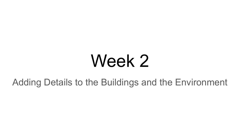## Week 2

Adding Details to the Buildings and the Environment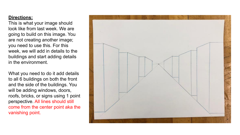## **Directions:**

This is what your image should look like from last week. We are going to build on this image. You are not creating another image; you need to use this. For this week, we will add in details to the buildings and start adding details in the environment.

What you need to do it add details to all 6 buildings on both the front and the side of the buildings. You will be adding windows, doors, roofs, bricks, or signs using 1 point perspective. All lines should still come from the center point aka the vanishing point.

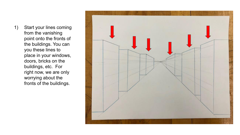1) Start your lines coming from the vanishing point onto the fronts of the buildings. You can you these lines to place in your windows, doors, bricks on the buildings, etc. For right now, we are only worrying about the fronts of the buildings.

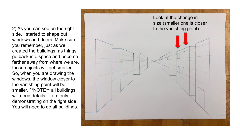2) As you can see on the right side, I started to shape out windows and doors. Make sure you remember, just as we created the buildings, as things go back into space and become farther away from where we are, those objects will get smaller. So, when you are drawing the windows, the window closer to the vanishing point will be smaller. \*\*NOTE\*\* all buildings will need details - I am only demonstrating on the right side. You will need to do all buildings.

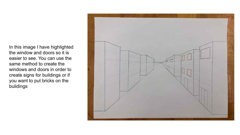In this image I have highlighted the window and doors so it is easier to see. You can use the same method to create the windows and doors in order to create signs for buildings or if you want to put bricks on the buildings

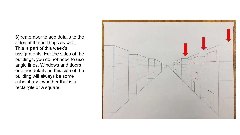3) remember to add details to the sides of the buildings as well. This is part of this week's assignments. For the sides of the buildings, you do not need to use angle lines. Windows and doors or other details on this side of the building will always be some cube shape, whether that is a rectangle or a square.

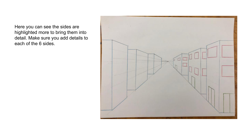Here you can see the sides are highlighted more to bring them into detail. Make sure you add details to each of the 6 sides.

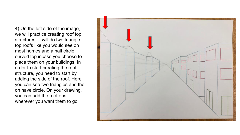4) On the left side of the image, we will practice creating roof top structures. I will do two triangle top roofs like you would see on most homes and a half circle curved top incase you choose to place them on your buildings. In order to start creating the roof structure, you need to start by adding the side of the roof. Here you can see two triangles and the on have circle. On your drawing, you can add the rooftops wherever you want them to go.

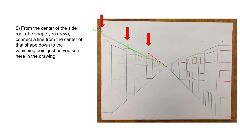5) From the center of the side roof (the shape you drew), connect a line from the center of that shape down to the vanishing point just as you see here in the drawing.

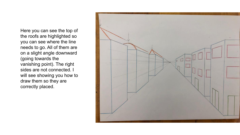Here you can see the top of the roofs are highlighted so you can see where the line needs to go. All of them are on a slight angle downward (going towards the vanishing point). The right sides are not connected. I will see showing you how to draw them so they are correctly placed.

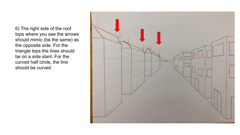6) The right side of the roof tops where you see the arrows should mimic (be the same) as the opposite side. For the triangle tops the lines should be on a side slant. For the curved half circle, the line should be curved

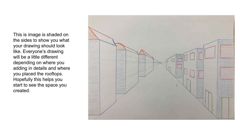This is image is shaded on the sides to show you what your drawing should look like. Everyone's drawing will be a little different depending on where you adding in details and where you placed the rooftops. Hopefully this helps you start to see the space you created.

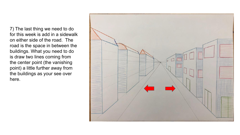7) The last thing we need to do for this week is add in a sidewalk on either side of the road. The road is the space in between the buildings. What you need to do is draw two lines coming from the center point (the vanishing point) a little further away from the buildings as your see over here.

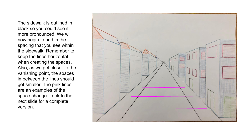The sidewalk is outlined in black so you could see it more pronounced. We will now begin to add in the spacing that you see within the sidewalk. Remember to keep the lines horizontal when creating the spaces. Also, as we get closer to the vanishing point, the spaces in between the lines should get smaller. The pink lines are an examples of the space change. Look to the next slide for a complete version.

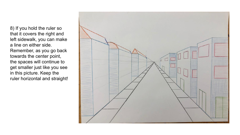8) If you hold the ruler so that it covers the right and left sidewalk, you can make a line on either side. Remember, as you go back towards the center point, the spaces will continue to get smaller just like you see in this picture. Keep the ruler horizontal and straight!